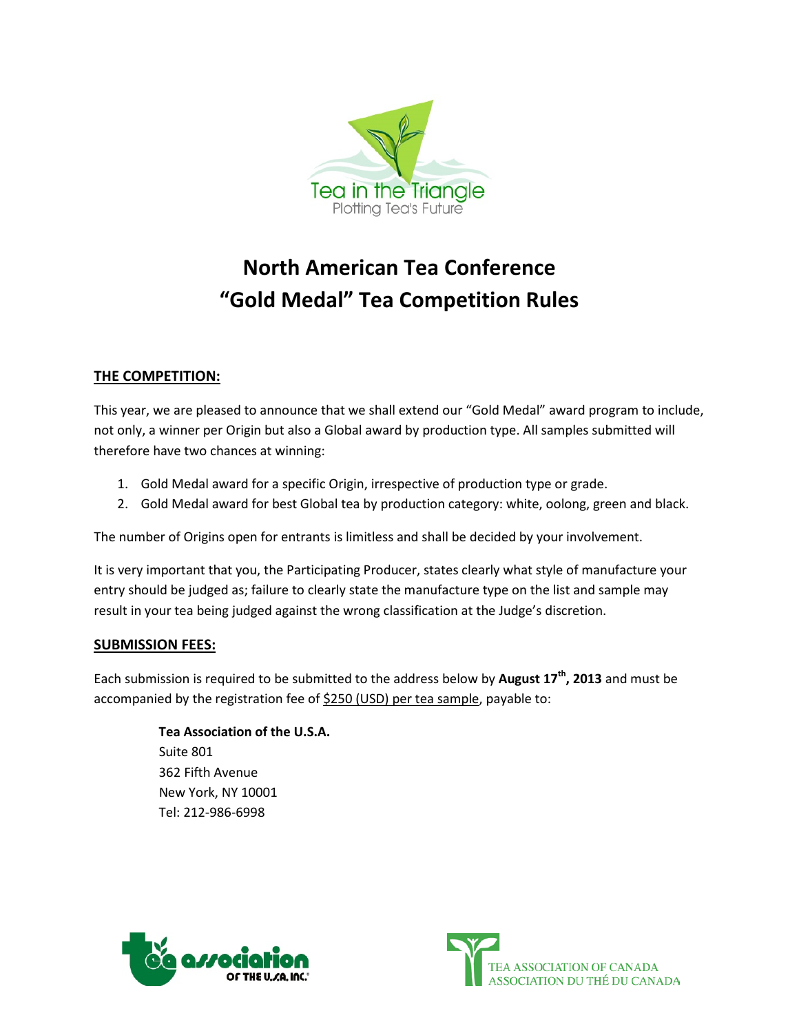

# **North American Tea Conference "Gold Medal" Tea Competition Rules**

## **THE COMPETITION:**

This year, we are pleased to announce that we shall extend our "Gold Medal" award program to include, not only, a winner per Origin but also a Global award by production type. All samples submitted will therefore have two chances at winning:

- 1. Gold Medal award for a specific Origin, irrespective of production type or grade.
- 2. Gold Medal award for best Global tea by production category: white, oolong, green and black.

The number of Origins open for entrants is limitless and shall be decided by your involvement.

It is very important that you, the Participating Producer, states clearly what style of manufacture your entry should be judged as; failure to clearly state the manufacture type on the list and sample may result in your tea being judged against the wrong classification at the Judge's discretion.

### **SUBMISSION FEES:**

Each submission is required to be submitted to the address below by **August 17th, 2013** and must be accompanied by the registration fee of \$250 (USD) per tea sample, payable to:

> **Tea Association of the U.S.A.** Suite 801 362 Fifth Avenue New York, NY 10001 Tel: 212-986-6998



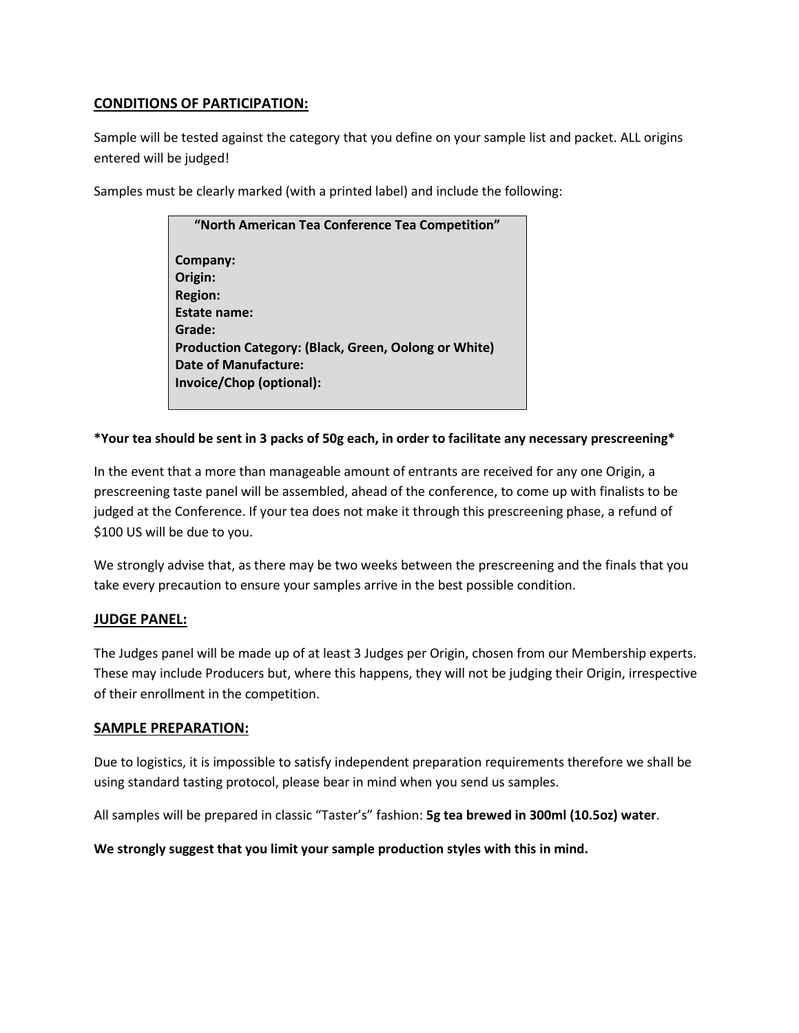### **CONDITIONS OF PARTICIPATION:**

Sample will be tested against the category that you define on your sample list and packet. ALL origins entered will be judged!

Samples must be clearly marked (with a printed label) and include the following:

| "North American Tea Conference Tea Competition"      |
|------------------------------------------------------|
| Company:                                             |
| Origin:                                              |
| <b>Region:</b>                                       |
| <b>Estate name:</b>                                  |
| Grade:                                               |
| Production Category: (Black, Green, Oolong or White) |
| <b>Date of Manufacture:</b>                          |
| Invoice/Chop (optional):                             |
|                                                      |

### **\*Your tea should be sent in 3 packs of 50g each, in order to facilitate any necessary prescreening\***

In the event that a more than manageable amount of entrants are received for any one Origin, a prescreening taste panel will be assembled, ahead of the conference, to come up with finalists to be judged at the Conference. If your tea does not make it through this prescreening phase, a refund of \$100 US will be due to you.

We strongly advise that, as there may be two weeks between the prescreening and the finals that you take every precaution to ensure your samples arrive in the best possible condition.

### **JUDGE PANEL:**

The Judges panel will be made up of at least 3 Judges per Origin, chosen from our Membership experts. These may include Producers but, where this happens, they will not be judging their Origin, irrespective of their enrollment in the competition.

### **SAMPLE PREPARATION:**

Due to logistics, it is impossible to satisfy independent preparation requirements therefore we shall be using standard tasting protocol, please bear in mind when you send us samples.

All samples will be prepared in classic "Taster's" fashion: **5g tea brewed in 300ml (10.5oz) water**.

**We strongly suggest that you limit your sample production styles with this in mind.**